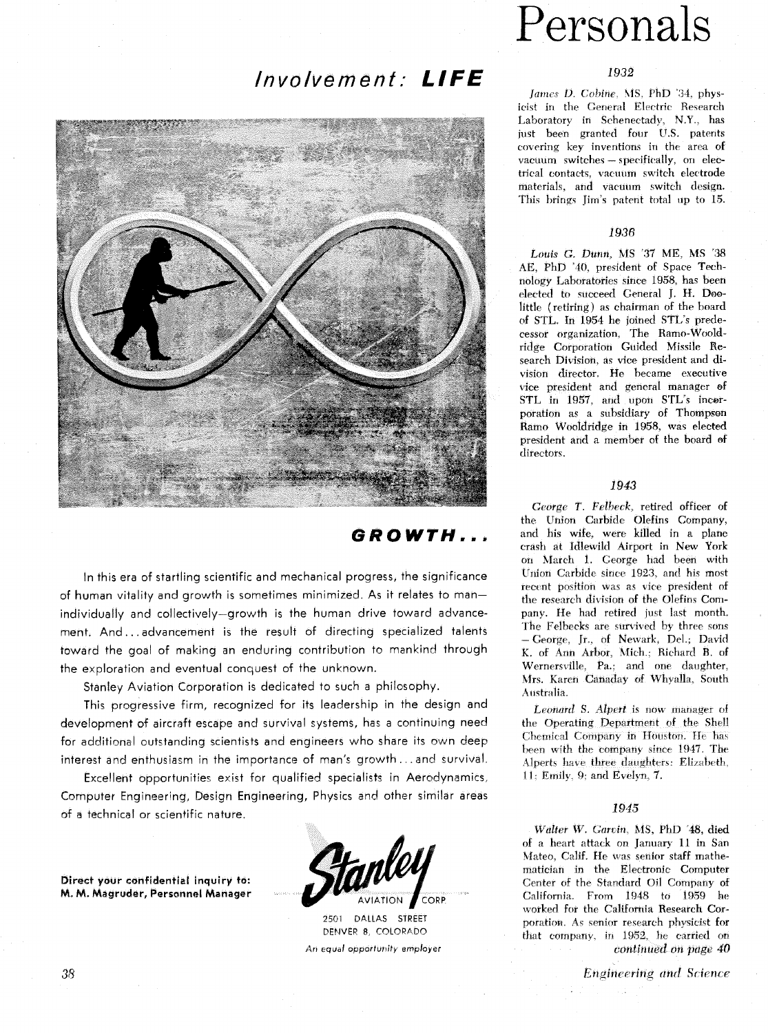## Involvement: LIFE



# Personals

## 1932

*James D. Cobine*, MS. PhD '34. physicist in the General Electric Research Laboratory in Schenectady, **N.Y.,** has just been granted four U.S. patents covering key inventions in the area. of vacuum switches - specifically, on electrical contacts, vacuum switch electrode materials, and vacuum switch design. This brings Jim's patent total up to 15.

## 1936

Louis **G.** *Dunn,* **MS** *'37 ME,* MS '38 **AE,** PhD "40, president of Space Technology Laboratories since 1958, has been elected to succeed General J. H. **Doe**little (retiring) **as** chairman of the board of STL, In 1954 he joined STL's predecessor organization. The Ramo-Wooldridge Corporation Guided Missile Research Division, as vice president and division director. He became executive vice president and general manager of STL in 1957, and upon STL's incorporation as a subsidiary of Thompson Ramo Wooldridge in 1958, **was** elected president and a member of the board of directors.

## 1943

*Ceorge T. Felbeck*, retired officer of the Union Carbide Olefins Company. and his wife. were killed in a plane crash at Idlewild Airport in New **York**  on March 1. George had been with Union Carbide since 1923. and his most recent position was as vice president of the research division of the Olefins Company. He had retired just last month. The Felbecks are survived by three sons - George, Jr., of Newark, Del.; David K. of Ann Arbor. Nfich.; Richard **B.** of Wernersville. Pa.: and one daughter, Mrs. Karen Canaday of Whyalla, South Australia.

*Leonard S. Alpert is* **now** manager of the Operating Department of the Shell Chemical Company in Houston. He has been with the company since 1947. The Alperts have three daughters: Elizabeth. 11: Emily, 9: and Evelyn, 7.

### 1945

*Walter* **W.** Can in MS, **PhD** 48, died of a heart attack on January 11 in San Mateo. Calif. He was senior staff mathematician in the Electronic Computer Center of the Standard Oil Company of California. From 1948 to 1959 he worked for the California Research Corporation **As** senior research physicist for that company, in 1952, he carried on **continued** on *pagv* 40

Engineering and Science

## GROWTH...

In this era of startling scientific and mechanical progress, the significance of human vitality and growth is sometimes minimized. As it relates to manindividually and collectively-growth is the human drive toward advancement. And.. . advancement is the result of directing specialized talents toward the goal of making an enduring contribution to mankind through the exploration and eventual conquest of the unknown.

Stanley Aviation Corporation is dedicated to such a philosophy.

This progressive firm, recognized for its leadership in the design and development of aircraft escape and survival systems, has a continuing need for additional outstanding scientists and engineers who share its own deep interest and enthusiasm in the importance of man's growth...and survival.

Excellent opportunities exist for qualified specialists in Aerodynamics, Computer Engineering, Design Engineering, Physics and other similar areas of a technical or scientific nature.

**Direct your confidential inquiry to: M. M. Magruder, Personnel Manager** 



2501 DALLAS STREET DENVER 8, COLORADO *An* **equal** *opportunity employer*